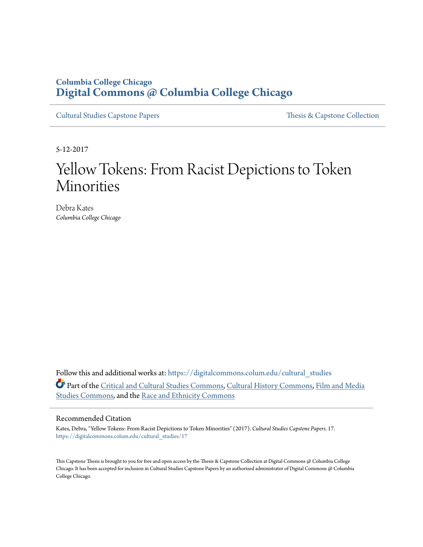#### **Columbia College Chicago [Digital Commons @ Columbia College Chicago](https://digitalcommons.colum.edu?utm_source=digitalcommons.colum.edu%2Fcultural_studies%2F17&utm_medium=PDF&utm_campaign=PDFCoverPages)**

[Cultural Studies Capstone Papers](https://digitalcommons.colum.edu/cultural_studies?utm_source=digitalcommons.colum.edu%2Fcultural_studies%2F17&utm_medium=PDF&utm_campaign=PDFCoverPages) [Thesis & Capstone Collection](https://digitalcommons.colum.edu/thesiscoll?utm_source=digitalcommons.colum.edu%2Fcultural_studies%2F17&utm_medium=PDF&utm_campaign=PDFCoverPages)

5-12-2017

# Yellow Tokens: From Racist Depictions to Token Minorities

Debra Kates *Columbia College Chicago*

Follow this and additional works at: [https://digitalcommons.colum.edu/cultural\\_studies](https://digitalcommons.colum.edu/cultural_studies?utm_source=digitalcommons.colum.edu%2Fcultural_studies%2F17&utm_medium=PDF&utm_campaign=PDFCoverPages) Part of the [Critical and Cultural Studies Commons](http://network.bepress.com/hgg/discipline/328?utm_source=digitalcommons.colum.edu%2Fcultural_studies%2F17&utm_medium=PDF&utm_campaign=PDFCoverPages), [Cultural History Commons](http://network.bepress.com/hgg/discipline/496?utm_source=digitalcommons.colum.edu%2Fcultural_studies%2F17&utm_medium=PDF&utm_campaign=PDFCoverPages), [Film and Media](http://network.bepress.com/hgg/discipline/563?utm_source=digitalcommons.colum.edu%2Fcultural_studies%2F17&utm_medium=PDF&utm_campaign=PDFCoverPages) [Studies Commons](http://network.bepress.com/hgg/discipline/563?utm_source=digitalcommons.colum.edu%2Fcultural_studies%2F17&utm_medium=PDF&utm_campaign=PDFCoverPages), and the [Race and Ethnicity Commons](http://network.bepress.com/hgg/discipline/426?utm_source=digitalcommons.colum.edu%2Fcultural_studies%2F17&utm_medium=PDF&utm_campaign=PDFCoverPages)

#### Recommended Citation

Kates, Debra, "Yellow Tokens: From Racist Depictions to Token Minorities" (2017). *Cultural Studies Capstone Papers*. 17. [https://digitalcommons.colum.edu/cultural\\_studies/17](https://digitalcommons.colum.edu/cultural_studies/17?utm_source=digitalcommons.colum.edu%2Fcultural_studies%2F17&utm_medium=PDF&utm_campaign=PDFCoverPages)

This Capstone Thesis is brought to you for free and open access by the Thesis & Capstone Collection at Digital Commons @ Columbia College Chicago. It has been accepted for inclusion in Cultural Studies Capstone Papers by an authorized administrator of Digital Commons @ Columbia College Chicago.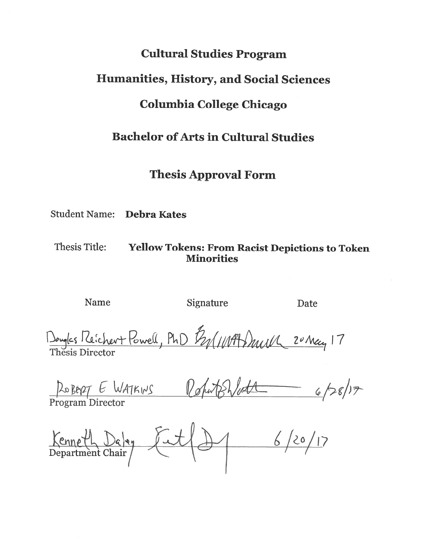## **Cultural Studies Program**

### **Humanities, History, and Social Sciences**

### **Columbia College Chicago**

# **Bachelor of Arts in Cultural Studies**

### **Thesis Approval Form**

**Student Name: Debra Kates** 

**Thesis Title:** 

### **Yellow Tokens: From Racist Depictions to Token Minorities**

Name

Signature

Date

Douglas Michert Powell, PhD By(11197) Mull 20 May 17

ROBERT E WATKINS RohutsWett 6/28/17

Kenneth Dalen Fut (d) 6/20/17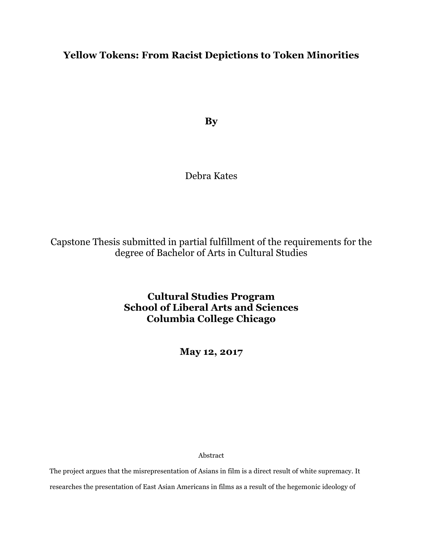#### **Yellow Tokens: From Racist Depictions to Token Minorities**

**By**

#### Debra Kates

Capstone Thesis submitted in partial fulfillment of the requirements for the degree of Bachelor of Arts in Cultural Studies

> **Cultural Studies Program School of Liberal Arts and Sciences Columbia College Chicago**

> > **May 12, 2017**

Abstract

The project argues that the misrepresentation of Asians in film is a direct result of white supremacy. It researches the presentation of East Asian Americans in films as a result of the hegemonic ideology of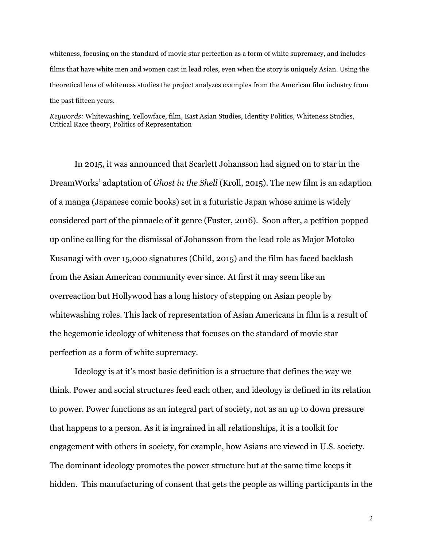whiteness, focusing on the standard of movie star perfection as a form of white supremacy, and includes films that have white men and women cast in lead roles, even when the story is uniquely Asian. Using the theoretical lens of whiteness studies the project analyzes examples from the American film industry from the past fifteen years.

*Keywords:* Whitewashing, Yellowface, film, East Asian Studies, Identity Politics, Whiteness Studies, Critical Race theory, Politics of Representation

In 2015, it was announced that Scarlett Johansson had signed on to star in the DreamWorks' adaptation of *Ghost in the Shell* (Kroll, 2015). The new film is an adaption of a manga (Japanese comic books) set in a futuristic Japan whose anime is widely considered part of the pinnacle of it genre (Fuster, 2016). Soon after, a petition popped up online calling for the dismissal of Johansson from the lead role as Major Motoko Kusanagi with over 15,000 signatures (Child, 2015) and the film has faced backlash from the Asian American community ever since. At first it may seem like an overreaction but Hollywood has a long history of stepping on Asian people by whitewashing roles. This lack of representation of Asian Americans in film is a result of the hegemonic ideology of whiteness that focuses on the standard of movie star perfection as a form of white supremacy.

Ideology is at it's most basic definition is a structure that defines the way we think. Power and social structures feed each other, and ideology is defined in its relation to power. Power functions as an integral part of society, not as an up to down pressure that happens to a person. As it is ingrained in all relationships, it is a toolkit for engagement with others in society, for example, how Asians are viewed in U.S. society. The dominant ideology promotes the power structure but at the same time keeps it hidden. This manufacturing of consent that gets the people as willing participants in the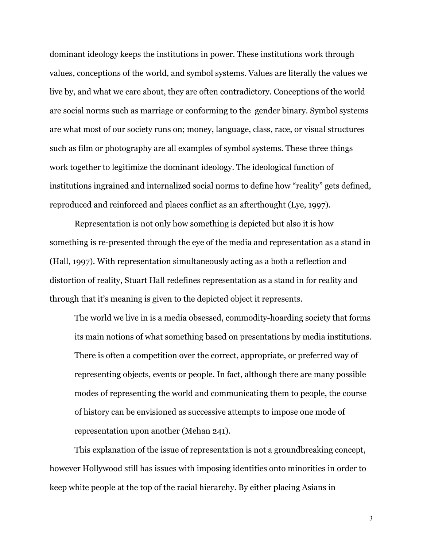dominant ideology keeps the institutions in power. These institutions work through values, conceptions of the world, and symbol systems. Values are literally the values we live by, and what we care about, they are often contradictory. Conceptions of the world are social norms such as marriage or conforming to the gender binary. Symbol systems are what most of our society runs on; money, language, class, race, or visual structures such as film or photography are all examples of symbol systems. These three things work together to legitimize the dominant ideology. The ideological function of institutions ingrained and internalized social norms to define how "reality" gets defined, reproduced and reinforced and places conflict as an afterthought (Lye, 1997).

Representation is not only how something is depicted but also it is how something is re-presented through the eye of the media and representation as a stand in (Hall, 1997). With representation simultaneously acting as a both a reflection and distortion of reality, Stuart Hall redefines representation as a stand in for reality and through that it's meaning is given to the depicted object it represents.

The world we live in is a media obsessed, commodity-hoarding society that forms its main notions of what something based on presentations by media institutions. There is often a competition over the correct, appropriate, or preferred way of representing objects, events or people. In fact, although there are many possible modes of representing the world and communicating them to people, the course of history can be envisioned as successive attempts to impose one mode of representation upon another (Mehan 241).

This explanation of the issue of representation is not a groundbreaking concept, however Hollywood still has issues with imposing identities onto minorities in order to keep white people at the top of the racial hierarchy. By either placing Asians in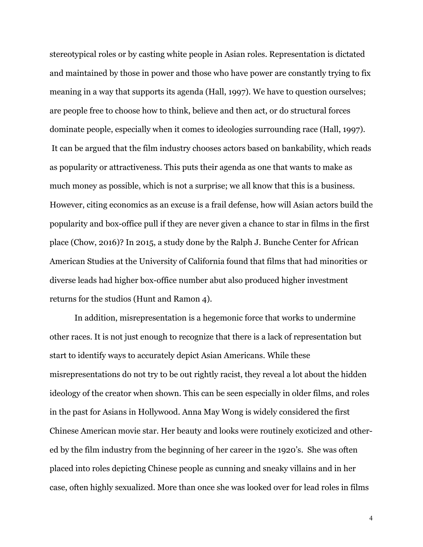stereotypical roles or by casting white people in Asian roles. Representation is dictated and maintained by those in power and those who have power are constantly trying to fix meaning in a way that supports its agenda (Hall, 1997). We have to question ourselves; are people free to choose how to think, believe and then act, or do structural forces dominate people, especially when it comes to ideologies surrounding race (Hall, 1997). It can be argued that the film industry chooses actors based on bankability, which reads as popularity or attractiveness. This puts their agenda as one that wants to make as much money as possible, which is not a surprise; we all know that this is a business. However, citing economics as an excuse is a frail defense, how will Asian actors build the popularity and box-office pull if they are never given a chance to star in films in the first place (Chow, 2016)? In 2015, a study done by the Ralph J. Bunche Center for African American Studies at the University of California found that films that had minorities or diverse leads had higher box-office number abut also produced higher investment returns for the studios (Hunt and Ramon 4).

In addition, misrepresentation is a hegemonic force that works to undermine other races. It is not just enough to recognize that there is a lack of representation but start to identify ways to accurately depict Asian Americans. While these misrepresentations do not try to be out rightly racist, they reveal a lot about the hidden ideology of the creator when shown. This can be seen especially in older films, and roles in the past for Asians in Hollywood. Anna May Wong is widely considered the first Chinese American movie star. Her beauty and looks were routinely exoticized and othered by the film industry from the beginning of her career in the 1920's. She was often placed into roles depicting Chinese people as cunning and sneaky villains and in her case, often highly sexualized. More than once she was looked over for lead roles in films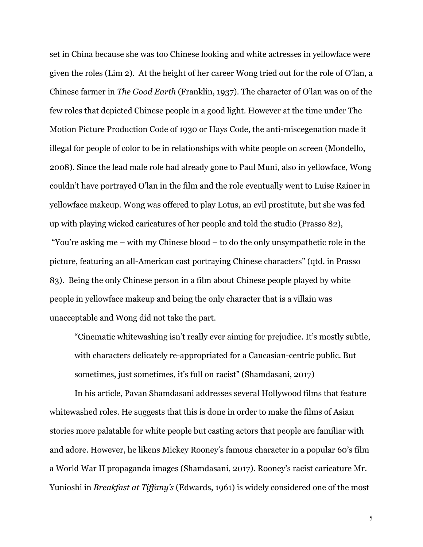set in China because she was too Chinese looking and white actresses in yellowface were given the roles (Lim 2). At the height of her career Wong tried out for the role of O'lan, a Chinese farmer in *The Good Earth* (Franklin, 1937). The character of O'lan was on of the few roles that depicted Chinese people in a good light. However at the time under The Motion Picture Production Code of 1930 or Hays Code, the anti-miscegenation made it illegal for people of color to be in relationships with white people on screen (Mondello, 2008). Since the lead male role had already gone to Paul Muni, also in yellowface, Wong couldn't have portrayed O'lan in the film and the role eventually went to Luise Rainer in yellowface makeup. Wong was offered to play Lotus, an evil prostitute, but she was fed up with playing wicked caricatures of her people and told the studio (Prasso 82), "You're asking me – with my Chinese blood – to do the only unsympathetic role in the picture, featuring an all-American cast portraying Chinese characters" (qtd. in Prasso 83). Being the only Chinese person in a film about Chinese people played by white people in yellowface makeup and being the only character that is a villain was

unacceptable and Wong did not take the part.

"Cinematic whitewashing isn't really ever aiming for prejudice. It's mostly subtle, with characters delicately re-appropriated for a Caucasian-centric public. But sometimes, just sometimes, it's full on racist" (Shamdasani, 2017)

In his article, Pavan Shamdasani addresses several Hollywood films that feature whitewashed roles. He suggests that this is done in order to make the films of Asian stories more palatable for white people but casting actors that people are familiar with and adore. However, he likens Mickey Rooney's famous character in a popular 60's film a World War II propaganda images (Shamdasani, 2017). Rooney's racist caricature Mr. Yunioshi in *Breakfast at Tiffany's* (Edwards, 1961) is widely considered one of the most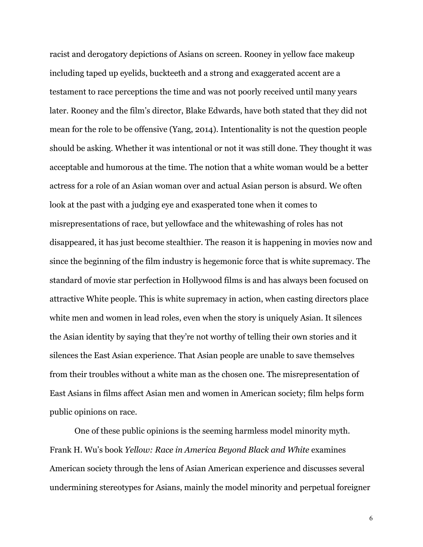racist and derogatory depictions of Asians on screen. Rooney in yellow face makeup including taped up eyelids, buckteeth and a strong and exaggerated accent are a testament to race perceptions the time and was not poorly received until many years later. Rooney and the film's director, Blake Edwards, have both stated that they did not mean for the role to be offensive (Yang, 2014). Intentionality is not the question people should be asking. Whether it was intentional or not it was still done. They thought it was acceptable and humorous at the time. The notion that a white woman would be a better actress for a role of an Asian woman over and actual Asian person is absurd. We often look at the past with a judging eye and exasperated tone when it comes to misrepresentations of race, but yellowface and the whitewashing of roles has not disappeared, it has just become stealthier. The reason it is happening in movies now and since the beginning of the film industry is hegemonic force that is white supremacy. The standard of movie star perfection in Hollywood films is and has always been focused on attractive White people. This is white supremacy in action, when casting directors place white men and women in lead roles, even when the story is uniquely Asian. It silences the Asian identity by saying that they're not worthy of telling their own stories and it silences the East Asian experience. That Asian people are unable to save themselves from their troubles without a white man as the chosen one. The misrepresentation of East Asians in films affect Asian men and women in American society; film helps form public opinions on race.

One of these public opinions is the seeming harmless model minority myth. Frank H. Wu's book *Yellow: Race in America Beyond Black and White* examines American society through the lens of Asian American experience and discusses several undermining stereotypes for Asians, mainly the model minority and perpetual foreigner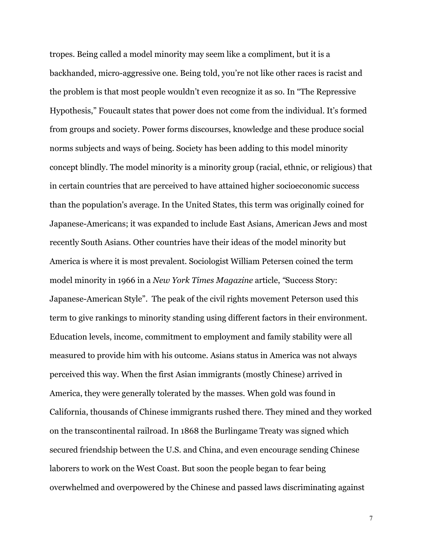tropes. Being called a model minority may seem like a compliment, but it is a backhanded, micro-aggressive one. Being told, you're not like other races is racist and the problem is that most people wouldn't even recognize it as so. In "The Repressive Hypothesis," Foucault states that power does not come from the individual. It's formed from groups and society. Power forms discourses, knowledge and these produce social norms subjects and ways of being. Society has been adding to this model minority concept blindly. The model minority is a minority group (racial, ethnic, or religious) that in certain countries that are perceived to have attained higher socioeconomic success than the population's average. In the United States, this term was originally coined for Japanese-Americans; it was expanded to include East Asians, American Jews and most recently South Asians. Other countries have their ideas of the model minority but America is where it is most prevalent. Sociologist William Petersen coined the term model minority in 1966 in a *New York Times Magazine* article, *"*Success Story: Japanese-American Style". The peak of the civil rights movement Peterson used this term to give rankings to minority standing using different factors in their environment. Education levels, income, commitment to employment and family stability were all measured to provide him with his outcome. Asians status in America was not always perceived this way. When the first Asian immigrants (mostly Chinese) arrived in America, they were generally tolerated by the masses. When gold was found in California, thousands of Chinese immigrants rushed there. They mined and they worked on the transcontinental railroad. In 1868 the Burlingame Treaty was signed which secured friendship between the U.S. and China, and even encourage sending Chinese laborers to work on the West Coast. But soon the people began to fear being overwhelmed and overpowered by the Chinese and passed laws discriminating against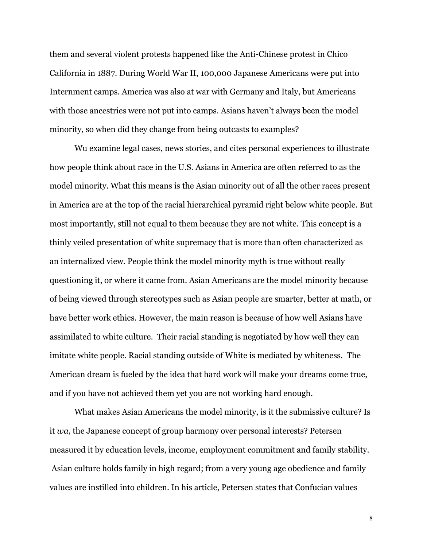them and several violent protests happened like the Anti-Chinese protest in Chico California in 1887. During World War II, 100,000 Japanese Americans were put into Internment camps. America was also at war with Germany and Italy, but Americans with those ancestries were not put into camps. Asians haven't always been the model minority, so when did they change from being outcasts to examples?

Wu examine legal cases, news stories, and cites personal experiences to illustrate how people think about race in the U.S. Asians in America are often referred to as the model minority. What this means is the Asian minority out of all the other races present in America are at the top of the racial hierarchical pyramid right below white people. But most importantly, still not equal to them because they are not white. This concept is a thinly veiled presentation of white supremacy that is more than often characterized as an internalized view. People think the model minority myth is true without really questioning it, or where it came from. Asian Americans are the model minority because of being viewed through stereotypes such as Asian people are smarter, better at math, or have better work ethics. However, the main reason is because of how well Asians have assimilated to white culture. Their racial standing is negotiated by how well they can imitate white people. Racial standing outside of White is mediated by whiteness. The American dream is fueled by the idea that hard work will make your dreams come true, and if you have not achieved them yet you are not working hard enough.

What makes Asian Americans the model minority, is it the submissive culture? Is it *wa,* the Japanese concept of group harmony over personal interests? Petersen measured it by education levels, income, employment commitment and family stability. Asian culture holds family in high regard; from a very young age obedience and family values are instilled into children. In his article, Petersen states that Confucian values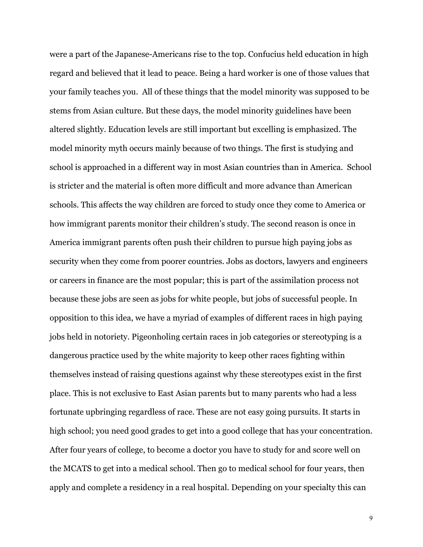were a part of the Japanese-Americans rise to the top. Confucius held education in high regard and believed that it lead to peace. Being a hard worker is one of those values that your family teaches you. All of these things that the model minority was supposed to be stems from Asian culture. But these days, the model minority guidelines have been altered slightly. Education levels are still important but excelling is emphasized. The model minority myth occurs mainly because of two things. The first is studying and school is approached in a different way in most Asian countries than in America. School is stricter and the material is often more difficult and more advance than American schools. This affects the way children are forced to study once they come to America or how immigrant parents monitor their children's study. The second reason is once in America immigrant parents often push their children to pursue high paying jobs as security when they come from poorer countries. Jobs as doctors, lawyers and engineers or careers in finance are the most popular; this is part of the assimilation process not because these jobs are seen as jobs for white people, but jobs of successful people. In opposition to this idea, we have a myriad of examples of different races in high paying jobs held in notoriety. Pigeonholing certain races in job categories or stereotyping is a dangerous practice used by the white majority to keep other races fighting within themselves instead of raising questions against why these stereotypes exist in the first place. This is not exclusive to East Asian parents but to many parents who had a less fortunate upbringing regardless of race. These are not easy going pursuits. It starts in high school; you need good grades to get into a good college that has your concentration. After four years of college, to become a doctor you have to study for and score well on the MCATS to get into a medical school. Then go to medical school for four years, then apply and complete a residency in a real hospital. Depending on your specialty this can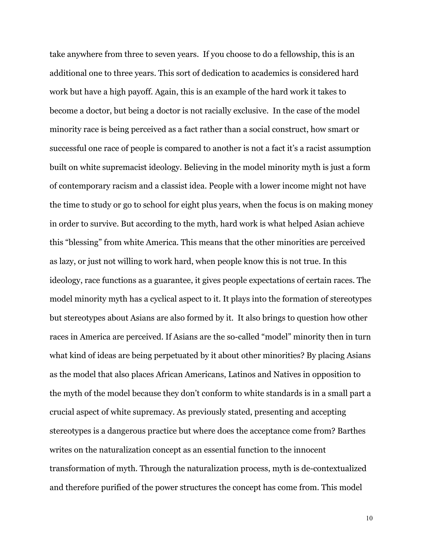take anywhere from three to seven years. If you choose to do a fellowship, this is an additional one to three years. This sort of dedication to academics is considered hard work but have a high payoff. Again, this is an example of the hard work it takes to become a doctor, but being a doctor is not racially exclusive. In the case of the model minority race is being perceived as a fact rather than a social construct, how smart or successful one race of people is compared to another is not a fact it's a racist assumption built on white supremacist ideology. Believing in the model minority myth is just a form of contemporary racism and a classist idea. People with a lower income might not have the time to study or go to school for eight plus years, when the focus is on making money in order to survive. But according to the myth, hard work is what helped Asian achieve this "blessing" from white America. This means that the other minorities are perceived as lazy, or just not willing to work hard, when people know this is not true. In this ideology, race functions as a guarantee, it gives people expectations of certain races. The model minority myth has a cyclical aspect to it. It plays into the formation of stereotypes but stereotypes about Asians are also formed by it. It also brings to question how other races in America are perceived. If Asians are the so-called "model" minority then in turn what kind of ideas are being perpetuated by it about other minorities? By placing Asians as the model that also places African Americans, Latinos and Natives in opposition to the myth of the model because they don't conform to white standards is in a small part a crucial aspect of white supremacy. As previously stated, presenting and accepting stereotypes is a dangerous practice but where does the acceptance come from? Barthes writes on the naturalization concept as an essential function to the innocent transformation of myth. Through the naturalization process, myth is de-contextualized and therefore purified of the power structures the concept has come from. This model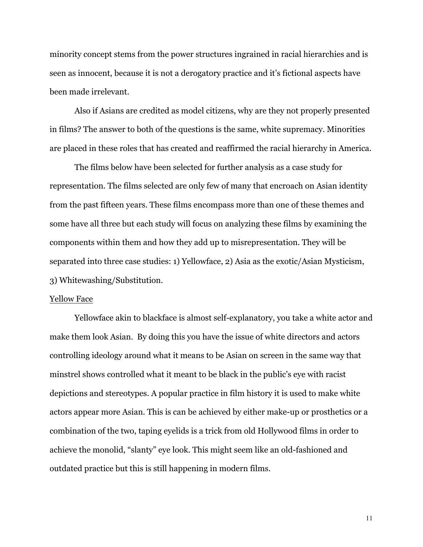minority concept stems from the power structures ingrained in racial hierarchies and is seen as innocent, because it is not a derogatory practice and it's fictional aspects have been made irrelevant.

Also if Asians are credited as model citizens, why are they not properly presented in films? The answer to both of the questions is the same, white supremacy. Minorities are placed in these roles that has created and reaffirmed the racial hierarchy in America.

The films below have been selected for further analysis as a case study for representation. The films selected are only few of many that encroach on Asian identity from the past fifteen years. These films encompass more than one of these themes and some have all three but each study will focus on analyzing these films by examining the components within them and how they add up to misrepresentation. They will be separated into three case studies: 1) Yellowface, 2) Asia as the exotic/Asian Mysticism, 3) Whitewashing/Substitution.

#### Yellow Face

Yellowface akin to blackface is almost self-explanatory, you take a white actor and make them look Asian. By doing this you have the issue of white directors and actors controlling ideology around what it means to be Asian on screen in the same way that minstrel shows controlled what it meant to be black in the public's eye with racist depictions and stereotypes. A popular practice in film history it is used to make white actors appear more Asian. This is can be achieved by either make-up or prosthetics or a combination of the two, taping eyelids is a trick from old Hollywood films in order to achieve the monolid, "slanty" eye look. This might seem like an old-fashioned and outdated practice but this is still happening in modern films.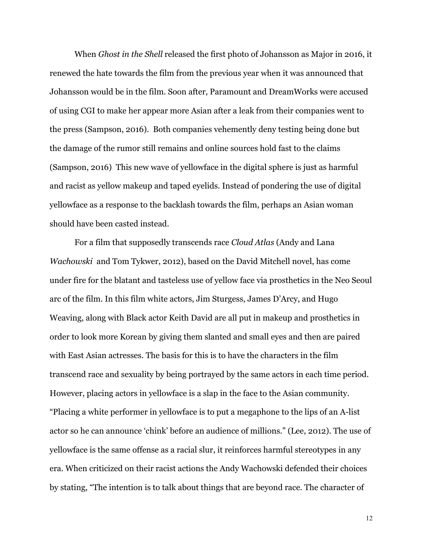When *Ghost in the Shell* released the first photo of Johansson as Major in 2016, it renewed the hate towards the film from the previous year when it was announced that Johansson would be in the film. Soon after, Paramount and DreamWorks were accused of using CGI to make her appear more Asian after a leak from their companies went to the press (Sampson, 2016). Both companies vehemently deny testing being done but the damage of the rumor still remains and online sources hold fast to the claims (Sampson, 2016) This new wave of yellowface in the digital sphere is just as harmful and racist as yellow makeup and taped eyelids. Instead of pondering the use of digital yellowface as a response to the backlash towards the film, perhaps an Asian woman should have been casted instead.

For a film that supposedly transcends race *Cloud Atlas* (Andy and Lana *Wachowski* and Tom Tykwer, 2012), based on the David Mitchell novel, has come under fire for the blatant and tasteless use of yellow face via prosthetics in the Neo Seoul arc of the film. In this film white actors, Jim Sturgess, James D'Arcy, and Hugo Weaving, along with Black actor Keith David are all put in makeup and prosthetics in order to look more Korean by giving them slanted and small eyes and then are paired with East Asian actresses. The basis for this is to have the characters in the film transcend race and sexuality by being portrayed by the same actors in each time period. However, placing actors in yellowface is a slap in the face to the Asian community. "Placing a white performer in yellowface is to put a megaphone to the lips of an A-list actor so he can announce 'chink' before an audience of millions." (Lee, 2012). The use of yellowface is the same offense as a racial slur, it reinforces harmful stereotypes in any era. When criticized on their racist actions the Andy Wachowski defended their choices by stating, "The intention is to talk about things that are beyond race. The character of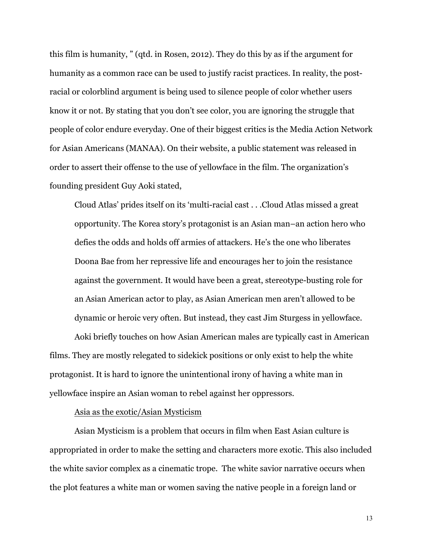this film is humanity, " (qtd. in Rosen, 2012). They do this by as if the argument for humanity as a common race can be used to justify racist practices. In reality, the postracial or colorblind argument is being used to silence people of color whether users know it or not. By stating that you don't see color, you are ignoring the struggle that people of color endure everyday. One of their biggest critics is the Media Action Network for Asian Americans (MANAA). On their website, a public statement was released in order to assert their offense to the use of yellowface in the film. The organization's founding president Guy Aoki stated,

Cloud Atlas' prides itself on its 'multi-racial cast . . .Cloud Atlas missed a great opportunity. The Korea story's protagonist is an Asian man–an action hero who defies the odds and holds off armies of attackers. He's the one who liberates Doona Bae from her repressive life and encourages her to join the resistance against the government. It would have been a great, stereotype-busting role for an Asian American actor to play, as Asian American men aren't allowed to be dynamic or heroic very often. But instead, they cast Jim Sturgess in yellowface.

Aoki briefly touches on how Asian American males are typically cast in American films. They are mostly relegated to sidekick positions or only exist to help the white protagonist. It is hard to ignore the unintentional irony of having a white man in yellowface inspire an Asian woman to rebel against her oppressors.

#### Asia as the exotic/Asian Mysticism

Asian Mysticism is a problem that occurs in film when East Asian culture is appropriated in order to make the setting and characters more exotic. This also included the white savior complex as a cinematic trope. The white savior narrative occurs when the plot features a white man or women saving the native people in a foreign land or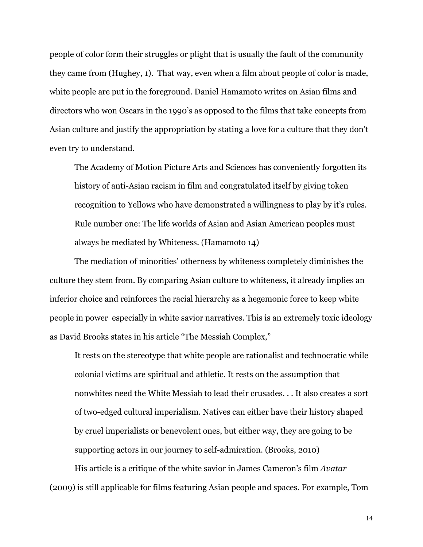people of color form their struggles or plight that is usually the fault of the community they came from (Hughey, 1). That way, even when a film about people of color is made, white people are put in the foreground. Daniel Hamamoto writes on Asian films and directors who won Oscars in the 1990's as opposed to the films that take concepts from Asian culture and justify the appropriation by stating a love for a culture that they don't even try to understand.

The Academy of Motion Picture Arts and Sciences has conveniently forgotten its history of anti-Asian racism in film and congratulated itself by giving token recognition to Yellows who have demonstrated a willingness to play by it's rules. Rule number one: The life worlds of Asian and Asian American peoples must always be mediated by Whiteness. (Hamamoto 14)

The mediation of minorities' otherness by whiteness completely diminishes the culture they stem from. By comparing Asian culture to whiteness, it already implies an inferior choice and reinforces the racial hierarchy as a hegemonic force to keep white people in power especially in white savior narratives. This is an extremely toxic ideology as David Brooks states in his article "The Messiah Complex,"

It rests on the stereotype that white people are rationalist and technocratic while colonial victims are spiritual and athletic. It rests on the assumption that nonwhites need the White Messiah to lead their crusades. . . It also creates a sort of two-edged cultural imperialism. Natives can either have their history shaped by cruel imperialists or benevolent ones, but either way, they are going to be supporting actors in our journey to self-admiration. (Brooks, 2010)

His article is a critique of the white savior in James Cameron's film *Avatar*  (2009) is still applicable for films featuring Asian people and spaces. For example, Tom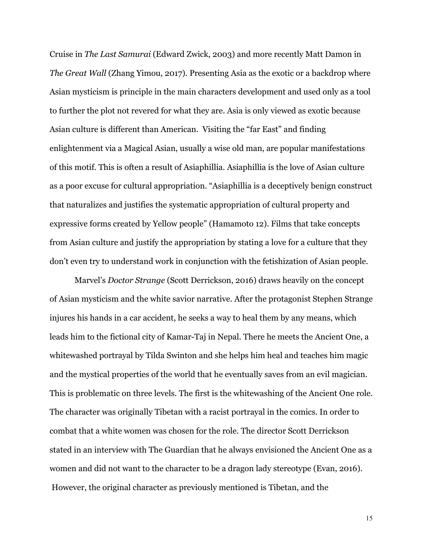Cruise in *The Last Samurai* (Edward Zwick, 2003) and more recently Matt Damon in *The Great Wall* (Zhang Yimou, 2017). Presenting Asia as the exotic or a backdrop where Asian mysticism is principle in the main characters development and used only as a tool to further the plot not revered for what they are. Asia is only viewed as exotic because Asian culture is different than American. Visiting the "far East" and finding enlightenment via a Magical Asian, usually a wise old man, are popular manifestations of this motif. This is often a result of Asiaphillia. Asiaphillia is the love of Asian culture as a poor excuse for cultural appropriation. "Asiaphillia is a deceptively benign construct that naturalizes and justifies the systematic appropriation of cultural property and expressive forms created by Yellow people" (Hamamoto 12). Films that take concepts from Asian culture and justify the appropriation by stating a love for a culture that they don't even try to understand work in conjunction with the fetishization of Asian people.

Marvel's *Doctor Strange* (Scott Derrickson, 2016) draws heavily on the concept of Asian mysticism and the white savior narrative. After the protagonist Stephen Strange injures his hands in a car accident, he seeks a way to heal them by any means, which leads him to the fictional city of Kamar-Taj in Nepal. There he meets the Ancient One, a whitewashed portrayal by Tilda Swinton and she helps him heal and teaches him magic and the mystical properties of the world that he eventually saves from an evil magician. This is problematic on three levels. The first is the whitewashing of the Ancient One role. The character was originally Tibetan with a racist portrayal in the comics. In order to combat that a white women was chosen for the role. The director Scott Derrickson stated in an interview with The Guardian that he always envisioned the Ancient One as a women and did not want to the character to be a dragon lady stereotype (Evan, 2016). However, the original character as previously mentioned is Tibetan, and the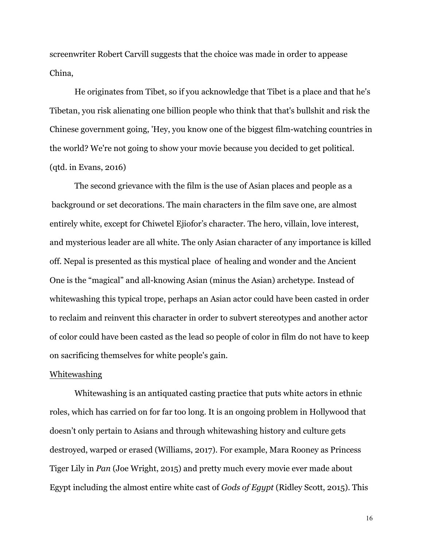screenwriter Robert Carvill suggests that the choice was made in order to appease China,

He originates from Tibet, so if you acknowledge that Tibet is a place and that he's Tibetan, you risk alienating one billion people who think that that's bullshit and risk the Chinese government going, 'Hey, you know one of the biggest film-watching countries in the world? We're not going to show your movie because you decided to get political. (qtd. in Evans, 2016)

The second grievance with the film is the use of Asian places and people as a background or set decorations. The main characters in the film save one, are almost entirely white, except for Chiwetel Ejiofor's character. The hero, villain, love interest, and mysterious leader are all white. The only Asian character of any importance is killed off. Nepal is presented as this mystical place of healing and wonder and the Ancient One is the "magical" and all-knowing Asian (minus the Asian) archetype. Instead of whitewashing this typical trope, perhaps an Asian actor could have been casted in order to reclaim and reinvent this character in order to subvert stereotypes and another actor of color could have been casted as the lead so people of color in film do not have to keep on sacrificing themselves for white people's gain.

#### Whitewashing

Whitewashing is an antiquated casting practice that puts white actors in ethnic roles, which has carried on for far too long. It is an ongoing problem in Hollywood that doesn't only pertain to Asians and through whitewashing history and culture gets destroyed, warped or erased (Williams, 2017). For example, Mara Rooney as Princess Tiger Lily in *Pan* (Joe Wright, 2015) and pretty much every movie ever made about Egypt including the almost entire white cast of *Gods of Egypt* (Ridley Scott, 2015). This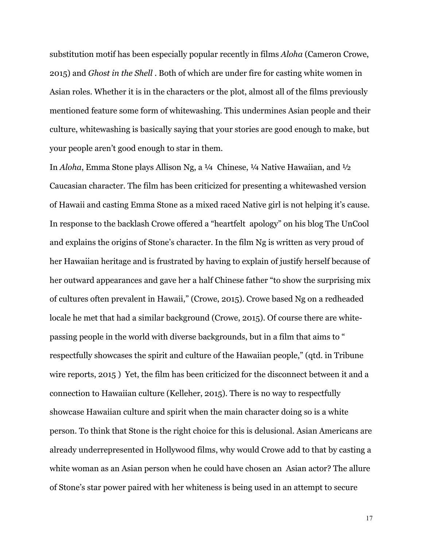substitution motif has been especially popular recently in films *Aloha* (Cameron Crowe, 2015) and *Ghost in the Shell* . Both of which are under fire for casting white women in Asian roles. Whether it is in the characters or the plot, almost all of the films previously mentioned feature some form of whitewashing. This undermines Asian people and their culture, whitewashing is basically saying that your stories are good enough to make, but your people aren't good enough to star in them.

In *Aloha*, Emma Stone plays Allison Ng, a <sup>1</sup>/4 Chinese, <sup>1</sup>/4 Native Hawaiian, and <sup>1</sup>/2 Caucasian character. The film has been criticized for presenting a whitewashed version of Hawaii and casting Emma Stone as a mixed raced Native girl is not helping it's cause. In response to the backlash Crowe offered a "heartfelt apology" on his blog The UnCool and explains the origins of Stone's character. In the film Ng is written as very proud of her Hawaiian heritage and is frustrated by having to explain of justify herself because of her outward appearances and gave her a half Chinese father "to show the surprising mix of cultures often prevalent in Hawaii," (Crowe, 2015). Crowe based Ng on a redheaded locale he met that had a similar background (Crowe, 2015). Of course there are whitepassing people in the world with diverse backgrounds, but in a film that aims to " respectfully showcases the spirit and culture of the Hawaiian people," (qtd. in Tribune wire reports, 2015 ) Yet, the film has been criticized for the disconnect between it and a connection to Hawaiian culture (Kelleher, 2015). There is no way to respectfully showcase Hawaiian culture and spirit when the main character doing so is a white person. To think that Stone is the right choice for this is delusional. Asian Americans are already underrepresented in Hollywood films, why would Crowe add to that by casting a white woman as an Asian person when he could have chosen an Asian actor? The allure of Stone's star power paired with her whiteness is being used in an attempt to secure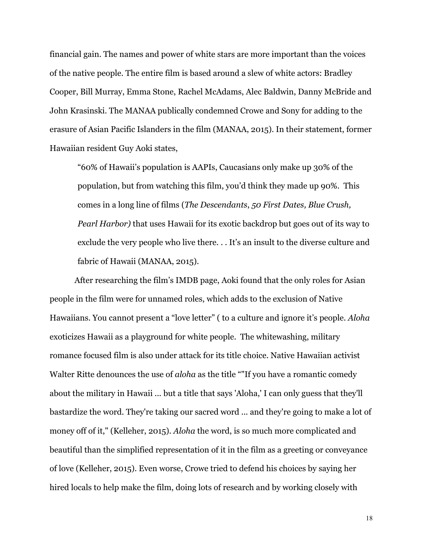financial gain. The names and power of white stars are more important than the voices of the native people. The entire film is based around a slew of white actors: Bradley Cooper, Bill Murray, Emma Stone, Rachel McAdams, Alec Baldwin, Danny McBride and John Krasinski. The MANAA publically condemned Crowe and Sony for adding to the erasure of Asian Pacific Islanders in the film (MANAA, 2015). In their statement, former Hawaiian resident Guy Aoki states,

"60% of Hawaii's population is AAPIs, Caucasians only make up 30% of the population, but from watching this film, you'd think they made up 90%. This comes in a long line of films (*The Descendants*, *50 First Dates, Blue Crush, Pearl Harbor)* that uses Hawaii for its exotic backdrop but goes out of its way to exclude the very people who live there. . . It's an insult to the diverse culture and fabric of Hawaii (MANAA, 2015).

After researching the film's IMDB page, Aoki found that the only roles for Asian people in the film were for unnamed roles, which adds to the exclusion of Native Hawaiians. You cannot present a "love letter" ( to a culture and ignore it's people. *Aloha* exoticizes Hawaii as a playground for white people. The whitewashing, military romance focused film is also under attack for its title choice. Native Hawaiian activist Walter Ritte denounces the use of *aloha* as the title ""If you have a romantic comedy about the military in Hawaii ... but a title that says 'Aloha,' I can only guess that they'll bastardize the word. They're taking our sacred word ... and they're going to make a lot of money off of it," (Kelleher, 2015). *Aloha* the word, is so much more complicated and beautiful than the simplified representation of it in the film as a greeting or conveyance of love (Kelleher, 2015). Even worse, Crowe tried to defend his choices by saying her hired locals to help make the film, doing lots of research and by working closely with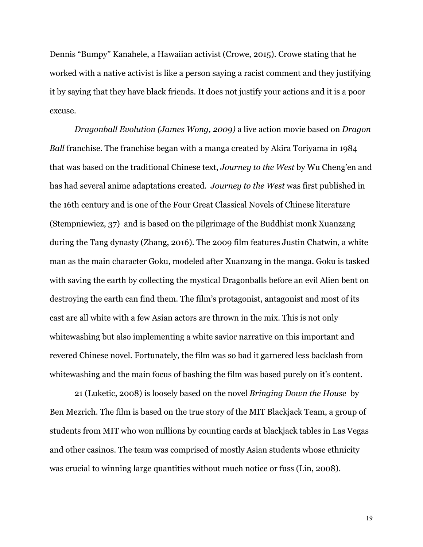Dennis "Bumpy" Kanahele, a Hawaiian activist (Crowe, 2015). Crowe stating that he worked with a native activist is like a person saying a racist comment and they justifying it by saying that they have black friends. It does not justify your actions and it is a poor excuse.

*Dragonball Evolution (James Wong, 2009)* a live action movie based on *Dragon Ball* franchise. The franchise began with a manga created by Akira Toriyama in 1984 that was based on the traditional Chinese text, *Journey to the West* by Wu Cheng'en and has had several anime adaptations created. *Journey to the West* was first published in the 16th century and is one of the Four Great Classical Novels of Chinese literature (Stempniewiez, 37) and is based on the pilgrimage of the Buddhist monk Xuanzang during the Tang dynasty (Zhang, 2016). The 2009 film features Justin Chatwin, a white man as the main character Goku, modeled after Xuanzang in the manga. Goku is tasked with saving the earth by collecting the mystical Dragonballs before an evil Alien bent on destroying the earth can find them. The film's protagonist, antagonist and most of its cast are all white with a few Asian actors are thrown in the mix. This is not only whitewashing but also implementing a white savior narrative on this important and revered Chinese novel. Fortunately, the film was so bad it garnered less backlash from whitewashing and the main focus of bashing the film was based purely on it's content.

21 (Luketic, 2008) is loosely based on the novel *Bringing Down the House* by Ben Mezrich. The film is based on the true story of the MIT Blackjack Team, a group of students from MIT who won millions by counting cards at blackjack tables in Las Vegas and other casinos. The team was comprised of mostly Asian students whose ethnicity was crucial to winning large quantities without much notice or fuss (Lin, 2008).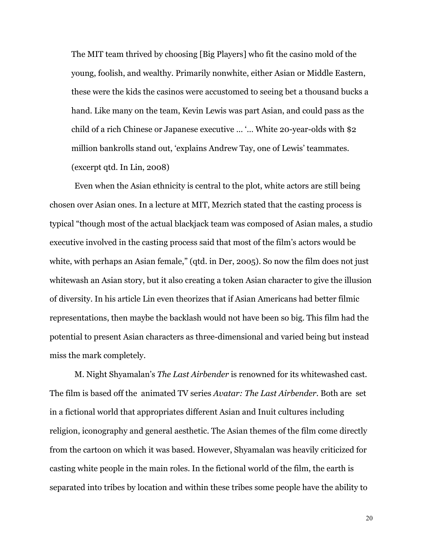The MIT team thrived by choosing [Big Players] who fit the casino mold of the young, foolish, and wealthy. Primarily nonwhite, either Asian or Middle Eastern, these were the kids the casinos were accustomed to seeing bet a thousand bucks a hand. Like many on the team, Kevin Lewis was part Asian, and could pass as the child of a rich Chinese or Japanese executive … '… White 20-year-olds with \$2 million bankrolls stand out, 'explains Andrew Tay, one of Lewis' teammates. (excerpt qtd. In Lin, 2008)

Even when the Asian ethnicity is central to the plot, white actors are still being chosen over Asian ones. In a lecture at MIT, Mezrich stated that the casting process is typical "though most of the actual blackjack team was composed of Asian males, a studio executive involved in the casting process said that most of the film's actors would be white, with perhaps an Asian female," (qtd. in Der, 2005). So now the film does not just whitewash an Asian story, but it also creating a token Asian character to give the illusion of diversity. In his article Lin even theorizes that if Asian Americans had better filmic representations, then maybe the backlash would not have been so big. This film had the potential to present Asian characters as three-dimensional and varied being but instead miss the mark completely.

M. Night Shyamalan's *The Last Airbender* is renowned for its whitewashed cast. The film is based off the animated TV series *Avatar: The Last Airbender.* Both are set in a fictional world that appropriates different Asian and Inuit cultures including religion, iconography and general aesthetic. The Asian themes of the film come directly from the cartoon on which it was based. However, Shyamalan was heavily criticized for casting white people in the main roles. In the fictional world of the film, the earth is separated into tribes by location and within these tribes some people have the ability to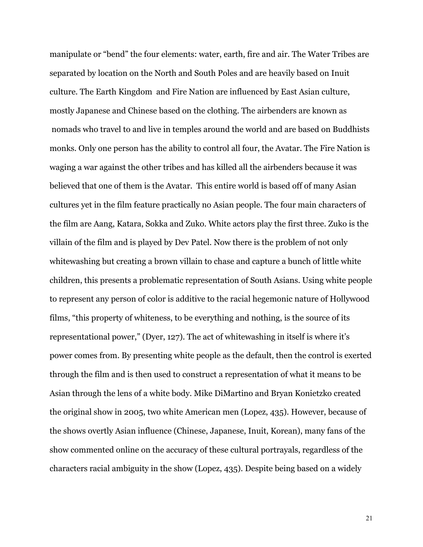manipulate or "bend" the four elements: water, earth, fire and air. The Water Tribes are separated by location on the North and South Poles and are heavily based on Inuit culture. The Earth Kingdom and Fire Nation are influenced by East Asian culture, mostly Japanese and Chinese based on the clothing. The airbenders are known as nomads who travel to and live in temples around the world and are based on Buddhists monks. Only one person has the ability to control all four, the Avatar. The Fire Nation is waging a war against the other tribes and has killed all the airbenders because it was believed that one of them is the Avatar. This entire world is based off of many Asian cultures yet in the film feature practically no Asian people. The four main characters of the film are Aang, Katara, Sokka and Zuko. White actors play the first three. Zuko is the villain of the film and is played by Dev Patel. Now there is the problem of not only whitewashing but creating a brown villain to chase and capture a bunch of little white children, this presents a problematic representation of South Asians. Using white people to represent any person of color is additive to the racial hegemonic nature of Hollywood films, "this property of whiteness, to be everything and nothing, is the source of its representational power," (Dyer, 127). The act of whitewashing in itself is where it's power comes from. By presenting white people as the default, then the control is exerted through the film and is then used to construct a representation of what it means to be Asian through the lens of a white body. Mike DiMartino and Bryan Konietzko created the original show in 2005, two white American men (Lopez, 435). However, because of the shows overtly Asian influence (Chinese, Japanese, Inuit, Korean), many fans of the show commented online on the accuracy of these cultural portrayals, regardless of the characters racial ambiguity in the show (Lopez, 435). Despite being based on a widely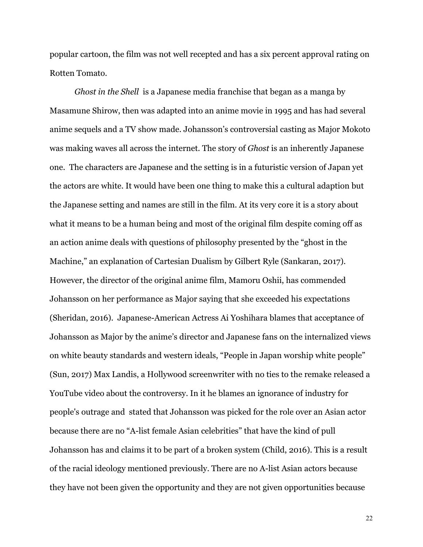popular cartoon, the film was not well recepted and has a six percent approval rating on Rotten Tomato.

*Ghost in the Shell* is a Japanese media franchise that began as a manga by Masamune Shirow, then was adapted into an anime movie in 1995 and has had several anime sequels and a TV show made. Johansson's controversial casting as Major Mokoto was making waves all across the internet. The story of *Ghost* is an inherently Japanese one. The characters are Japanese and the setting is in a futuristic version of Japan yet the actors are white. It would have been one thing to make this a cultural adaption but the Japanese setting and names are still in the film. At its very core it is a story about what it means to be a human being and most of the original film despite coming off as an action anime deals with questions of philosophy presented by the "ghost in the Machine," an explanation of Cartesian Dualism by Gilbert Ryle (Sankaran, 2017). However, the director of the original anime film, Mamoru Oshii, has commended Johansson on her performance as Major saying that she exceeded his expectations (Sheridan, 2016). Japanese-American Actress Ai Yoshihara blames that acceptance of Johansson as Major by the anime's director and Japanese fans on the internalized views on white beauty standards and western ideals, "People in Japan worship white people" (Sun, 2017) Max Landis, a Hollywood screenwriter with no ties to the remake released a YouTube video about the controversy. In it he blames an ignorance of industry for people's outrage and stated that Johansson was picked for the role over an Asian actor because there are no "A-list female Asian celebrities" that have the kind of pull Johansson has and claims it to be part of a broken system (Child, 2016). This is a result of the racial ideology mentioned previously. There are no A-list Asian actors because they have not been given the opportunity and they are not given opportunities because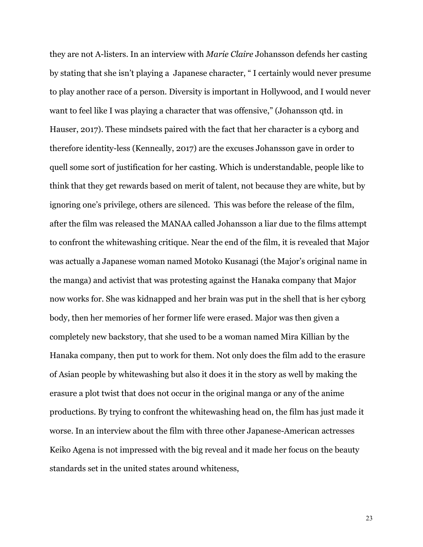they are not A-listers. In an interview with *Marie Claire* Johansson defends her casting by stating that she isn't playing a Japanese character, " I certainly would never presume to play another race of a person. Diversity is important in Hollywood, and I would never want to feel like I was playing a character that was offensive," (Johansson qtd. in Hauser, 2017). These mindsets paired with the fact that her character is a cyborg and therefore identity-less (Kenneally, 2017) are the excuses Johansson gave in order to quell some sort of justification for her casting. Which is understandable, people like to think that they get rewards based on merit of talent, not because they are white, but by ignoring one's privilege, others are silenced. This was before the release of the film, after the film was released the MANAA called Johansson a liar due to the films attempt to confront the whitewashing critique. Near the end of the film, it is revealed that Major was actually a Japanese woman named Motoko Kusanagi (the Major's original name in the manga) and activist that was protesting against the Hanaka company that Major now works for. She was kidnapped and her brain was put in the shell that is her cyborg body, then her memories of her former life were erased. Major was then given a completely new backstory, that she used to be a woman named Mira Killian by the Hanaka company, then put to work for them. Not only does the film add to the erasure of Asian people by whitewashing but also it does it in the story as well by making the erasure a plot twist that does not occur in the original manga or any of the anime productions. By trying to confront the whitewashing head on, the film has just made it worse. In an interview about the film with three other Japanese-American actresses Keiko Agena is not impressed with the big reveal and it made her focus on the beauty standards set in the united states around whiteness,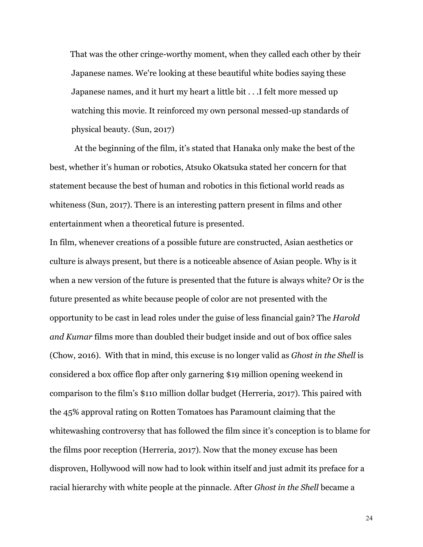That was the other cringe-worthy moment, when they called each other by their Japanese names. We're looking at these beautiful white bodies saying these Japanese names, and it hurt my heart a little bit . . .I felt more messed up watching this movie. It reinforced my own personal messed-up standards of physical beauty. (Sun, 2017)

At the beginning of the film, it's stated that Hanaka only make the best of the best, whether it's human or robotics, Atsuko Okatsuka stated her concern for that statement because the best of human and robotics in this fictional world reads as whiteness (Sun, 2017). There is an interesting pattern present in films and other entertainment when a theoretical future is presented.

In film, whenever creations of a possible future are constructed, Asian aesthetics or culture is always present, but there is a noticeable absence of Asian people. Why is it when a new version of the future is presented that the future is always white? Or is the future presented as white because people of color are not presented with the opportunity to be cast in lead roles under the guise of less financial gain? The *Harold and Kumar* films more than doubled their budget inside and out of box office sales (Chow, 2016). With that in mind, this excuse is no longer valid as *Ghost in the Shell* is considered a box office flop after only garnering \$19 million opening weekend in comparison to the film's \$110 million dollar budget (Herreria, 2017). This paired with the 45% approval rating on Rotten Tomatoes has Paramount claiming that the whitewashing controversy that has followed the film since it's conception is to blame for the films poor reception (Herreria, 2017). Now that the money excuse has been disproven, Hollywood will now had to look within itself and just admit its preface for a racial hierarchy with white people at the pinnacle. After *Ghost in the Shell* became a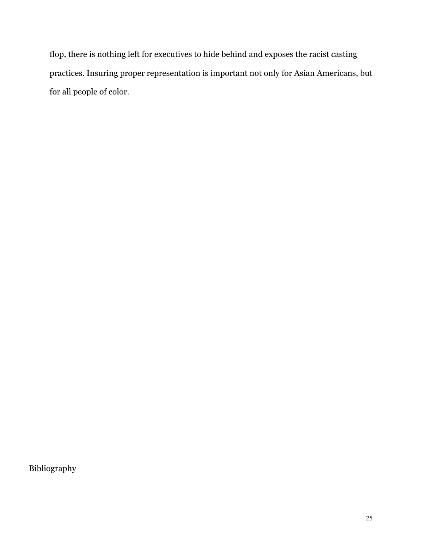flop, there is nothing left for executives to hide behind and exposes the racist casting practices. Insuring proper representation is important not only for Asian Americans, but for all people of color.

Bibliography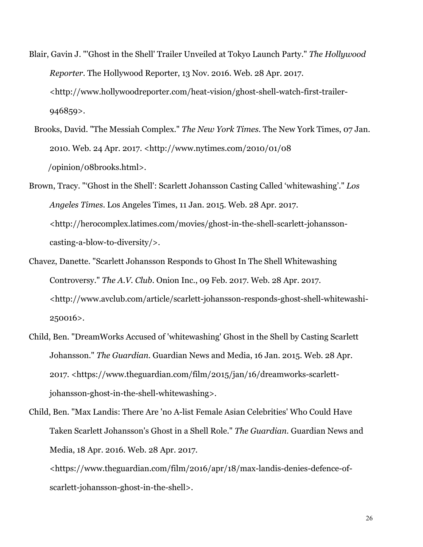- Blair, Gavin J. "'Ghost in the Shell' Trailer Unveiled at Tokyo Launch Party." *The Hollywood Reporter*. The Hollywood Reporter, 13 Nov. 2016. Web. 28 Apr. 2017. <http://www.hollywoodreporter.com/heat-vision/ghost-shell-watch-first-trailer-946859>.
- Brooks, David. "The Messiah Complex." *The New York Times*. The New York Times, 07 Jan. 2010. Web. 24 Apr. 2017. <http://www.nytimes.com/2010/01/08 /opinion/08brooks.html>.
- Brown, Tracy. "'Ghost in the Shell': Scarlett Johansson Casting Called 'whitewashing'." *Los Angeles Times*. Los Angeles Times, 11 Jan. 2015. Web. 28 Apr. 2017. <http://herocomplex.latimes.com/movies/ghost-in-the-shell-scarlett-johanssoncasting-a-blow-to-diversity/>.
- Chavez, Danette. "Scarlett Johansson Responds to Ghost In The Shell Whitewashing Controversy." *The A.V. Club*. Onion Inc., 09 Feb. 2017. Web. 28 Apr. 2017. <http://www.avclub.com/article/scarlett-johansson-responds-ghost-shell-whitewashi-250016>.
- Child, Ben. "DreamWorks Accused of 'whitewashing' Ghost in the Shell by Casting Scarlett Johansson." *The Guardian*. Guardian News and Media, 16 Jan. 2015. Web. 28 Apr. 2017. <https://www.theguardian.com/film/2015/jan/16/dreamworks-scarlettjohansson-ghost-in-the-shell-whitewashing>.
- Child, Ben. "Max Landis: There Are 'no A-list Female Asian Celebrities' Who Could Have Taken Scarlett Johansson's Ghost in a Shell Role." *The Guardian*. Guardian News and Media, 18 Apr. 2016. Web. 28 Apr. 2017.

<https://www.theguardian.com/film/2016/apr/18/max-landis-denies-defence-ofscarlett-johansson-ghost-in-the-shell>.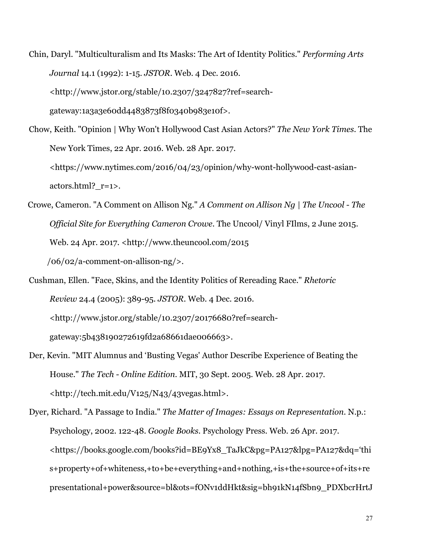Chin, Daryl. "Multiculturalism and Its Masks: The Art of Identity Politics." *Performing Arts Journal* 14.1 (1992): 1-15. *JSTOR*. Web. 4 Dec. 2016. <http://www.jstor.org/stable/10.2307/3247827?ref=search-

gateway:1a3a3e60dd4483873f8f0340b983e10f>.

- Chow, Keith. "Opinion | Why Won't Hollywood Cast Asian Actors?" *The New York Times*. The New York Times, 22 Apr. 2016. Web. 28 Apr. 2017. <https://www.nytimes.com/2016/04/23/opinion/why-wont-hollywood-cast-asianactors.html?\_r=1>.
- Crowe, Cameron. "A Comment on Allison Ng." *A Comment on Allison Ng | The Uncool - The Official Site for Everything Cameron Crowe*. The Uncool/ Vinyl FIlms, 2 June 2015. Web. 24 Apr. 2017. <http://www.theuncool.com/2015 /06/02/a-comment-on-allison-ng/>.
- Cushman, Ellen. "Face, Skins, and the Identity Politics of Rereading Race." *Rhetoric Review* 24.4 (2005): 389-95. *JSTOR*. Web. 4 Dec. 2016. <http://www.jstor.org/stable/10.2307/20176680?ref=searchgateway:5b438190272619fd2a68661dae006663>.
- Der, Kevin. "MIT Alumnus and 'Busting Vegas' Author Describe Experience of Beating the House." *The Tech - Online Edition*. MIT, 30 Sept. 2005. Web. 28 Apr. 2017. <http://tech.mit.edu/V125/N43/43vegas.html>.
- Dyer, Richard. "A Passage to India." *The Matter of Images: Essays on Representation*. N.p.: Psychology, 2002. 122-48. *Google Books*. Psychology Press. Web. 26 Apr. 2017. <https://books.google.com/books?id=BE9Yx8\_TaJkC&pg=PA127&lpg=PA127&dq='thi s+property+of+whiteness,+to+be+everything+and+nothing,+is+the+source+of+its+re presentational+power&source=bl&ots=fONv1ddHkt&sig=bh91kN14fSbn9\_PDXbcrHrtJ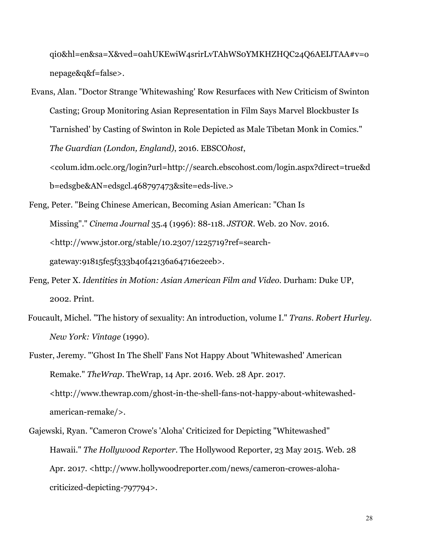qi0&hl=en&sa=X&ved=0ahUKEwiW4srirLvTAhWS0YMKHZHQC24Q6AEIJTAA#v=o nepage&q&f=false>.

Evans, Alan. "Doctor Strange 'Whitewashing' Row Resurfaces with New Criticism of Swinton Casting; Group Monitoring Asian Representation in Film Says Marvel Blockbuster Is 'Tarnished' by Casting of Swinton in Role Depicted as Male Tibetan Monk in Comics." *The Guardian (London, England)*, 2016. EBSCO*host*, <colum.idm.oclc.org/login?url=http://search.ebscohost.com/login.aspx?direct=true&d b=edsgbe&AN=edsgcl.468797473&site=eds-live.>

- Feng, Peter. "Being Chinese American, Becoming Asian American: "Chan Is Missing"." *Cinema Journal* 35.4 (1996): 88-118. *JSTOR*. Web. 20 Nov. 2016. <http://www.jstor.org/stable/10.2307/1225719?ref=searchgateway:91815fe5f333b40f42136a64716e2eeb>.
- Feng, Peter X. *Identities in Motion: Asian American Film and Video*. Durham: Duke UP, 2002. Print.
- Foucault, Michel. "The history of sexuality: An introduction, volume I." *Trans. Robert Hurley. New York: Vintage* (1990).
- Fuster, Jeremy. "'Ghost In The Shell' Fans Not Happy About 'Whitewashed' American Remake." *TheWrap*. TheWrap, 14 Apr. 2016. Web. 28 Apr. 2017. <http://www.thewrap.com/ghost-in-the-shell-fans-not-happy-about-whitewashedamerican-remake/>.

Gajewski, Ryan. "Cameron Crowe's 'Aloha' Criticized for Depicting "Whitewashed" Hawaii." *The Hollywood Reporter*. The Hollywood Reporter, 23 May 2015. Web. 28 Apr. 2017. <http://www.hollywoodreporter.com/news/cameron-crowes-alohacriticized-depicting-797794>.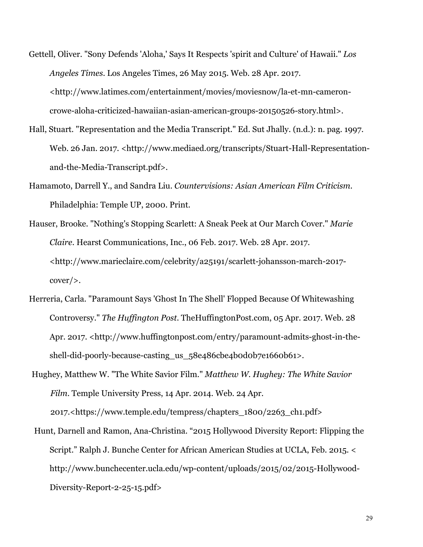- Gettell, Oliver. "Sony Defends 'Aloha,' Says It Respects 'spirit and Culture' of Hawaii." *Los Angeles Times*. Los Angeles Times, 26 May 2015. Web. 28 Apr. 2017. <http://www.latimes.com/entertainment/movies/moviesnow/la-et-mn-cameroncrowe-aloha-criticized-hawaiian-asian-american-groups-20150526-story.html>.
- Hall, Stuart. "Representation and the Media Transcript." Ed. Sut Jhally. (n.d.): n. pag. 1997. Web. 26 Jan. 2017. <http://www.mediaed.org/transcripts/Stuart-Hall-Representationand-the-Media-Transcript.pdf>.
- Hamamoto, Darrell Y., and Sandra Liu. *Countervisions: Asian American Film Criticism*. Philadelphia: Temple UP, 2000. Print.
- Hauser, Brooke. "Nothing's Stopping Scarlett: A Sneak Peek at Our March Cover." *Marie Claire*. Hearst Communications, Inc., 06 Feb. 2017. Web. 28 Apr. 2017. <http://www.marieclaire.com/celebrity/a25191/scarlett-johansson-march-2017 cover/>.
- Herreria, Carla. "Paramount Says 'Ghost In The Shell' Flopped Because Of Whitewashing Controversy." *The Huffington Post*. TheHuffingtonPost.com, 05 Apr. 2017. Web. 28 Apr. 2017. <http://www.huffingtonpost.com/entry/paramount-admits-ghost-in-theshell-did-poorly-because-casting\_us\_58e486cbe4bod0b7e1660b61>.
- Hughey, Matthew W. "The White Savior Film." *Matthew W. Hughey: The White Savior Film*. Temple University Press, 14 Apr. 2014. Web. 24 Apr. 2017.<https://www.temple.edu/tempress/chapters\_1800/2263\_ch1.pdf>
- Hunt, Darnell and Ramon, Ana-Christina. "2015 Hollywood Diversity Report: Flipping the Script." Ralph J. Bunche Center for African American Studies at UCLA, Feb. 2015. < http://www.bunchecenter.ucla.edu/wp-content/uploads/2015/02/2015-Hollywood-Diversity-Report-2-25-15.pdf>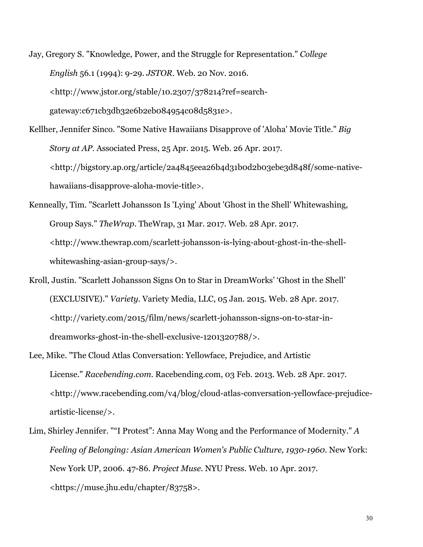Jay, Gregory S. "Knowledge, Power, and the Struggle for Representation." *College English* 56.1 (1994): 9-29. *JSTOR*. Web. 20 Nov. 2016. <http://www.jstor.org/stable/10.2307/378214?ref=searchgateway:c671cb3db32e6b2eb084954c08d5831e>.

Kellher, Jennifer Sinco. "Some Native Hawaiians Disapprove of 'Aloha' Movie Title." *Big Story at AP*. Associated Press, 25 Apr. 2015. Web. 26 Apr. 2017. <http://bigstory.ap.org/article/2a4845eea26b4d31b0d2b03ebe3d848f/some-nativehawaiians-disapprove-aloha-movie-title>.

Kenneally, Tim. "Scarlett Johansson Is 'Lying' About 'Ghost in the Shell' Whitewashing, Group Says." *TheWrap*. TheWrap, 31 Mar. 2017. Web. 28 Apr. 2017. <http://www.thewrap.com/scarlett-johansson-is-lying-about-ghost-in-the-shellwhitewashing-asian-group-says/>.

Kroll, Justin. "Scarlett Johansson Signs On to Star in DreamWorks' 'Ghost in the Shell' (EXCLUSIVE)." *Variety*. Variety Media, LLC, 05 Jan. 2015. Web. 28 Apr. 2017. <http://variety.com/2015/film/news/scarlett-johansson-signs-on-to-star-indreamworks-ghost-in-the-shell-exclusive-1201320788/>.

- Lee, Mike. "The Cloud Atlas Conversation: Yellowface, Prejudice, and Artistic License." *Racebending.com*. Racebending.com, 03 Feb. 2013. Web. 28 Apr. 2017. <http://www.racebending.com/v4/blog/cloud-atlas-conversation-yellowface-prejudiceartistic-license/>.
- Lim, Shirley Jennifer. ""I Protest": Anna May Wong and the Performance of Modernity." *A Feeling of Belonging: Asian American Women's Public Culture, 1930-1960*. New York: New York UP, 2006. 47-86. *Project Muse*. NYU Press. Web. 10 Apr. 2017. <https://muse.jhu.edu/chapter/83758>.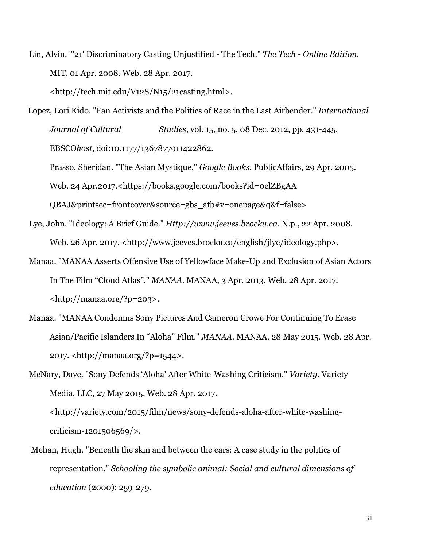Lin, Alvin. "'21' Discriminatory Casting Unjustified - The Tech." *The Tech - Online Edition*. MIT, 01 Apr. 2008. Web. 28 Apr. 2017.

<http://tech.mit.edu/V128/N15/21casting.html>.

- Lopez, Lori Kido. "Fan Activists and the Politics of Race in the Last Airbender." *International Journal of Cultural Studies*, vol. 15, no. 5, 08 Dec. 2012, pp. 431-445. EBSCO*host*, doi:10.1177/1367877911422862.
	- Prasso, Sheridan. "The Asian Mystique." *Google Books*. PublicAffairs, 29 Apr. 2005. Web. 24 Apr.2017.<https://books.google.com/books?id=0elZBgAA QBAJ&printsec=frontcover&source=gbs\_atb#v=onepage&q&f=false>
- Lye, John. "Ideology: A Brief Guide." *Http://www.jeeves.brocku.ca*. N.p., 22 Apr. 2008. Web. 26 Apr. 2017. <http://www.jeeves.brocku.ca/english/jlye/ideology.php>.
- Manaa. "MANAA Asserts Offensive Use of Yellowface Make-Up and Exclusion of Asian Actors In The Film "Cloud Atlas"." *MANAA*. MANAA, 3 Apr. 2013. Web. 28 Apr. 2017. <http://manaa.org/?p=203>.
- Manaa. "MANAA Condemns Sony Pictures And Cameron Crowe For Continuing To Erase Asian/Pacific Islanders In "Aloha" Film." *MANAA*. MANAA, 28 May 2015. Web. 28 Apr. 2017. <http://manaa.org/?p=1544>.
- McNary, Dave. "Sony Defends 'Aloha' After White-Washing Criticism." *Variety*. Variety Media, LLC, 27 May 2015. Web. 28 Apr. 2017. <http://variety.com/2015/film/news/sony-defends-aloha-after-white-washingcriticism-1201506569/>.
- Mehan, Hugh. "Beneath the skin and between the ears: A case study in the politics of representation." *Schooling the symbolic animal: Social and cultural dimensions of education* (2000): 259-279.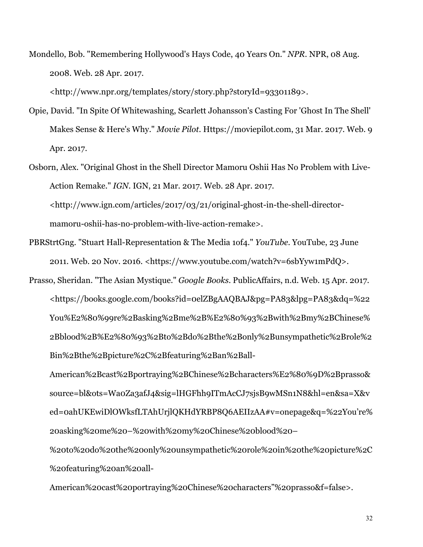Mondello, Bob. "Remembering Hollywood's Hays Code, 40 Years On." *NPR*. NPR, 08 Aug. 2008. Web. 28 Apr. 2017.

<http://www.npr.org/templates/story/story.php?storyId=93301189>.

- Opie, David. "In Spite Of Whitewashing, Scarlett Johansson's Casting For 'Ghost In The Shell' Makes Sense & Here's Why." *Movie Pilot*. Https://moviepilot.com, 31 Mar. 2017. Web. 9 Apr. 2017.
- Osborn, Alex. "Original Ghost in the Shell Director Mamoru Oshii Has No Problem with Live-Action Remake." *IGN*. IGN, 21 Mar. 2017. Web. 28 Apr. 2017. <http://www.ign.com/articles/2017/03/21/original-ghost-in-the-shell-directormamoru-oshii-has-no-problem-with-live-action-remake>.
- PBRStrtGng. "Stuart Hall-Representation & The Media 1of4." *YouTube*. YouTube, 23 June 2011. Web. 20 Nov. 2016. <https://www.youtube.com/watch?v=6sbYyw1mPdQ>.
- Prasso, Sheridan. "The Asian Mystique." *Google Books*. PublicAffairs, n.d. Web. 15 Apr. 2017. <https://books.google.com/books?id=0elZBgAAQBAJ&pg=PA83&lpg=PA83&dq=%22 You%E2%80%99re%2Basking%2Bme%2B%E2%80%93%2Bwith%2Bmy%2BChinese% 2Bblood%2B%E2%80%93%2Bto%2Bdo%2Bthe%2Bonly%2Bunsympathetic%2Brole%2 Bin%2Bthe%2Bpicture%2C%2Bfeaturing%2Ban%2Ball-

American%2Bcast%2Bportraying%2BChinese%2Bcharacters%E2%80%9D%2Bprasso& source=bl&ots=Wa0Za3afJ4&sig=lHGFhh9ITmAcCJ7sjsB9wMSn1N8&hl=en&sa=X&v ed=0ahUKEwiDlOWksfLTAhUrjlQKHdYRBP8Q6AEIIzAA#v=onepage&q=%22You're% 20asking%20me%20–%20with%20my%20Chinese%20blood%20–

%20to%20do%20the%20only%20unsympathetic%20role%20in%20the%20picture%2C %20featuring%20an%20all-

American%20cast%20portraying%20Chinese%20characters"%20prasso&f=false>.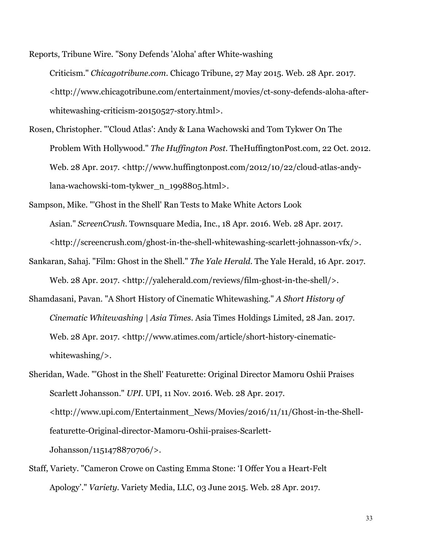Reports, Tribune Wire. "Sony Defends 'Aloha' after White-washing Criticism." *Chicagotribune.com*. Chicago Tribune, 27 May 2015. Web. 28 Apr. 2017. <http://www.chicagotribune.com/entertainment/movies/ct-sony-defends-aloha-afterwhitewashing-criticism-20150527-story.html>.

- Rosen, Christopher. "'Cloud Atlas': Andy & Lana Wachowski and Tom Tykwer On The Problem With Hollywood." *The Huffington Post*. TheHuffingtonPost.com, 22 Oct. 2012. Web. 28 Apr. 2017. <http://www.huffingtonpost.com/2012/10/22/cloud-atlas-andylana-wachowski-tom-tykwer\_n\_1998805.html>.
- Sampson, Mike. "'Ghost in the Shell' Ran Tests to Make White Actors Look Asian." *ScreenCrush*. Townsquare Media, Inc., 18 Apr. 2016. Web. 28 Apr. 2017. <http://screencrush.com/ghost-in-the-shell-whitewashing-scarlett-johnasson-vfx/>.
- Sankaran, Sahaj. "Film: Ghost in the Shell." *The Yale Herald*. The Yale Herald, 16 Apr. 2017. Web. 28 Apr. 2017. <http://yaleherald.com/reviews/film-ghost-in-the-shell/>.
- Shamdasani, Pavan. "A Short History of Cinematic Whitewashing." *A Short History of Cinematic Whitewashing | Asia Times*. Asia Times Holdings Limited, 28 Jan. 2017. Web. 28 Apr. 2017. <http://www.atimes.com/article/short-history-cinematicwhitewashing/>.

Sheridan, Wade. "'Ghost in the Shell' Featurette: Original Director Mamoru Oshii Praises Scarlett Johansson." *UPI*. UPI, 11 Nov. 2016. Web. 28 Apr. 2017. <http://www.upi.com/Entertainment\_News/Movies/2016/11/11/Ghost-in-the-Shellfeaturette-Original-director-Mamoru-Oshii-praises-Scarlett-Johansson/1151478870706/>.

Staff, Variety. "Cameron Crowe on Casting Emma Stone: 'I Offer You a Heart-Felt Apology'." *Variety*. Variety Media, LLC, 03 June 2015. Web. 28 Apr. 2017.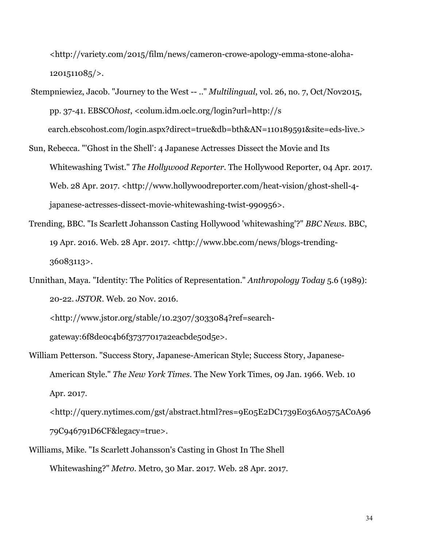<http://variety.com/2015/film/news/cameron-crowe-apology-emma-stone-aloha-1201511085/>.

- Stempniewiez, Jacob. "Journey to the West -- .." *Multilingual*, vol. 26, no. 7, Oct/Nov2015, pp. 37-41. EBSCO*host*, <colum.idm.oclc.org/login?url=http://s earch.ebscohost.com/login.aspx?direct=true&db=bth&AN=110189591&site=eds-live.>
- Sun, Rebecca. "'Ghost in the Shell': 4 Japanese Actresses Dissect the Movie and Its Whitewashing Twist." *The Hollywood Reporter*. The Hollywood Reporter, 04 Apr. 2017. Web. 28 Apr. 2017. <http://www.hollywoodreporter.com/heat-vision/ghost-shell-4japanese-actresses-dissect-movie-whitewashing-twist-990956>.
- Trending, BBC. "Is Scarlett Johansson Casting Hollywood 'whitewashing'?" *BBC News*. BBC, 19 Apr. 2016. Web. 28 Apr. 2017. <http://www.bbc.com/news/blogs-trending-36083113>.
- Unnithan, Maya. "Identity: The Politics of Representation." *Anthropology Today* 5.6 (1989): 20-22. *JSTOR*. Web. 20 Nov. 2016.

<http://www.jstor.org/stable/10.2307/3033084?ref=searchgateway:6f8de0c4b6f37377017a2eacbde50d5e>.

William Petterson. "Success Story, Japanese-American Style; Success Story, Japanese-American Style." *The New York Times*. The New York Times, 09 Jan. 1966. Web. 10 Apr. 2017.

<http://query.nytimes.com/gst/abstract.html?res=9E05E2DC1739E036A0575AC0A96 79C946791D6CF&legacy=true>.

Williams, Mike. "Is Scarlett Johansson's Casting in Ghost In The Shell Whitewashing?" *Metro*. Metro, 30 Mar. 2017. Web. 28 Apr. 2017.